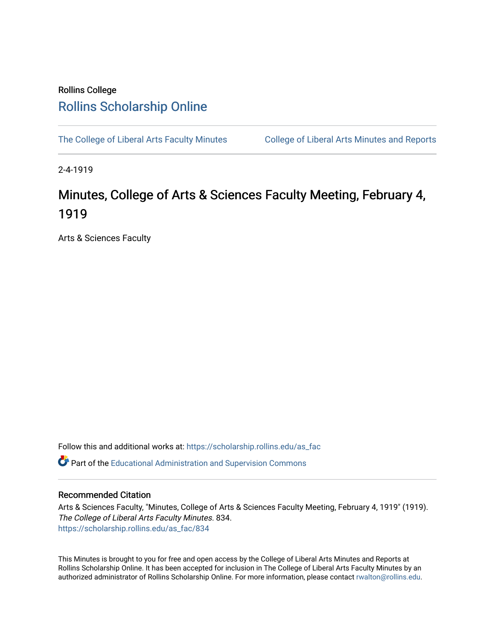## Rollins College [Rollins Scholarship Online](https://scholarship.rollins.edu/)

[The College of Liberal Arts Faculty Minutes](https://scholarship.rollins.edu/as_fac) College of Liberal Arts Minutes and Reports

2-4-1919

## Minutes, College of Arts & Sciences Faculty Meeting, February 4, 1919

Arts & Sciences Faculty

Follow this and additional works at: [https://scholarship.rollins.edu/as\\_fac](https://scholarship.rollins.edu/as_fac?utm_source=scholarship.rollins.edu%2Fas_fac%2F834&utm_medium=PDF&utm_campaign=PDFCoverPages) 

**P** Part of the [Educational Administration and Supervision Commons](http://network.bepress.com/hgg/discipline/787?utm_source=scholarship.rollins.edu%2Fas_fac%2F834&utm_medium=PDF&utm_campaign=PDFCoverPages)

## Recommended Citation

Arts & Sciences Faculty, "Minutes, College of Arts & Sciences Faculty Meeting, February 4, 1919" (1919). The College of Liberal Arts Faculty Minutes. 834. [https://scholarship.rollins.edu/as\\_fac/834](https://scholarship.rollins.edu/as_fac/834?utm_source=scholarship.rollins.edu%2Fas_fac%2F834&utm_medium=PDF&utm_campaign=PDFCoverPages) 

This Minutes is brought to you for free and open access by the College of Liberal Arts Minutes and Reports at Rollins Scholarship Online. It has been accepted for inclusion in The College of Liberal Arts Faculty Minutes by an authorized administrator of Rollins Scholarship Online. For more information, please contact [rwalton@rollins.edu](mailto:rwalton@rollins.edu).